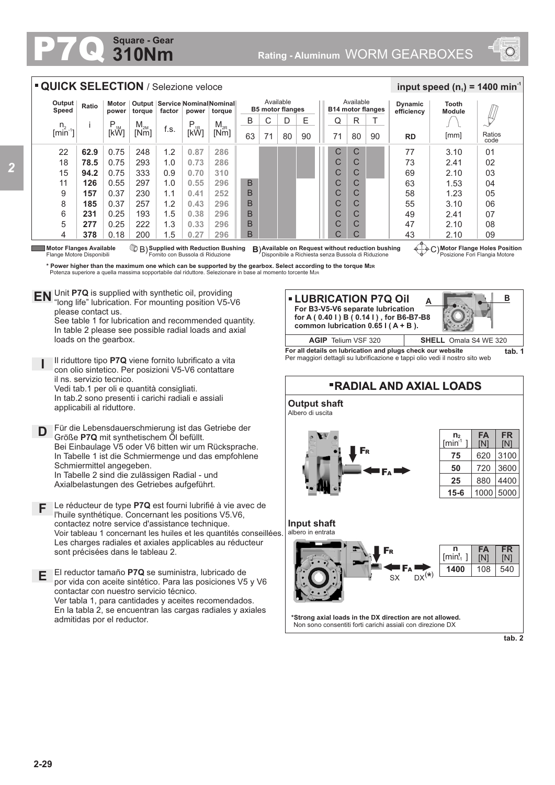## **310Nm Square - Gear**



|                                                                                                                                                                                                                                                                                                                                                                                                                                                       | <b>• QUICK SELECTION</b> / Selezione veloce |                                    |          |                                                                 |                  |          |    |                                      |    |    |  |                                       |    |    | input speed $(n_1)$ = 1400 min <sup>-1</sup> |                        |                |
|-------------------------------------------------------------------------------------------------------------------------------------------------------------------------------------------------------------------------------------------------------------------------------------------------------------------------------------------------------------------------------------------------------------------------------------------------------|---------------------------------------------|------------------------------------|----------|-----------------------------------------------------------------|------------------|----------|----|--------------------------------------|----|----|--|---------------------------------------|----|----|----------------------------------------------|------------------------|----------------|
| Output<br>Speed                                                                                                                                                                                                                                                                                                                                                                                                                                       | Ratio                                       | Motor<br>power                     | torque   | Output   Service   Nominal Nominal<br>factor<br>power<br>torque |                  |          |    | Available<br><b>B5 motor flanges</b> |    |    |  | Available<br><b>B14 motor flanges</b> |    |    | <b>Dynamic</b><br>efficiency                 | Tooth<br><b>Module</b> |                |
| $n_{2}$                                                                                                                                                                                                                                                                                                                                                                                                                                               |                                             |                                    | $M_{2M}$ |                                                                 |                  | $M_{2R}$ | B  | ◡                                    | D  | Е  |  | Q                                     | R  |    |                                              |                        |                |
| $\left[\text{min}^2\right]$                                                                                                                                                                                                                                                                                                                                                                                                                           |                                             | $P_{1M}$ <sub>I</sub> <sub>M</sub> | [Nm]     | f.s.                                                            | $P_{1R}$<br>[kŴ] | [Nm]     | 63 | 71                                   | 80 | 90 |  | 71                                    | 80 | 90 | <b>RD</b>                                    | [mm]                   | Ratios<br>code |
| 22                                                                                                                                                                                                                                                                                                                                                                                                                                                    | 62.9                                        | 0.75                               | 248      | 1.2                                                             | 0.87             | 286      |    |                                      |    |    |  | С                                     | С  |    | 77                                           | 3.10                   | 01             |
| 18                                                                                                                                                                                                                                                                                                                                                                                                                                                    | 78.5                                        | 0.75                               | 293      | 1.0                                                             | 0.73             | 286      |    |                                      |    |    |  | C                                     | C  |    | 73                                           | 2.41                   | 02             |
| 15                                                                                                                                                                                                                                                                                                                                                                                                                                                    | 94.2                                        | 0.75                               | 333      | 0.9                                                             | 0.70             | 310      |    |                                      |    |    |  | C                                     | С  |    | 69                                           | 2.10                   | 03             |
| 11                                                                                                                                                                                                                                                                                                                                                                                                                                                    | 126                                         | 0.55                               | 297      | 1.0                                                             | 0.55             | 296      | B  |                                      |    |    |  | C                                     | C  |    | 63                                           | 1.53                   | 04             |
| 9                                                                                                                                                                                                                                                                                                                                                                                                                                                     | 157                                         | 0.37                               | 230      | 1.1                                                             | 0.41             | 252      | B  |                                      |    |    |  | C                                     | C  |    | 58                                           | 1.23                   | 05             |
| 8                                                                                                                                                                                                                                                                                                                                                                                                                                                     | 185                                         | 0.37                               | 257      | 1.2                                                             | 0.43             | 296      | B  |                                      |    |    |  | C                                     | C  |    | 55                                           | 3.10                   | 06             |
| 6                                                                                                                                                                                                                                                                                                                                                                                                                                                     | 231                                         | 0.25                               | 193      | 1.5                                                             | 0.38             | 296      | B  |                                      |    |    |  | C                                     | C  |    | 49                                           | 2.41                   | 07             |
| 5                                                                                                                                                                                                                                                                                                                                                                                                                                                     | 277                                         | 0.25                               | 222      | 1.3                                                             | 0.33             | 296      | B  |                                      |    |    |  | C                                     | C  |    | 47                                           | 2.10                   | 08             |
| 4                                                                                                                                                                                                                                                                                                                                                                                                                                                     | 378                                         | 0.18                               | 200      | 1.5                                                             | 0.27             | 296      | B  |                                      |    |    |  | C                                     |    |    | 43                                           | 2.10                   | 09             |
| C B) Supplied with Reduction Bushing<br>B) Available on Request without reduction bushing<br>o (∴) Motor Flange Holes Position<br><b>Motor Flanges Available</b><br>Fornito con Bussola di Riduzione<br>Disponibile a Richiesta senza Bussola di Riduzione<br>Posizione Fori Flangia Motore<br>Flange Motore Disponibili<br>* Power higher than the maximum one which can be supported by the gearbox. Select according to the torque M <sub>2R</sub> |                                             |                                    |          |                                                                 |                  |          |    |                                      |    |    |  |                                       |    |    |                                              |                        |                |

\* Power higher than the maximum one which can be supported by the gearbox. Select according to the torque M2R\*<br>Potenza superiore a quella massima sopportabile dal riduttore. Selezionare in base al momento torcente M2R\*

Unit **P7Q** is supplied with synthetic oil, providing **EN** Unit P7Q is supplied with synthetic oil, providing<br>"long life" lubrication. For mounting position V5-V6 please contact us.

See table 1 for lubrication and recommended quantity. In table 2 please see possible radial loads and axial loads on the gearbox.

Il riduttore tipo **P7Q** viene fornito lubrificato a vita con olio sintetico. Per posizioni V5-V6 contattare il ns. servizio tecnico. Vedi tab.1 per oli e quantità consigliati.

In tab.2 sono presenti i carichi radiali e assiali applicabili al riduttore.

**D** Für die Lebensdauerschmierung ist das Getriebe der<br>**D** Größe **P70** mit synthetischem Öl befüllt Größe **P7Q** mit synthetischem Öl befüllt. Bei Einbaulage V5 oder V6 bitten wir um Rücksprache. In Tabelle 1 ist die Schmiermenge und das empfohlene Schmiermittel angegeben. In Tabelle 2 sind die zulässigen Radial - und Axialbelastungen des Getriebes aufgeführt.

**F** Le réducteur de type **P7Q** est fourni lubrifié à vie avec de l'huile synthétique. Concernant les positions V5.V6, contactez notre service d'assistance technique. Voir tableau 1 concernant les huiles et les quantités conseillées. Les charges radiales et axiales applicables au réducteur sont précisées dans le tableau 2.

**E** El reductor tamaño **P7Q** se suministra, lubricado de por vida con aceite sintético. Para las posiciones V5 y V6 contactar con nuestro servicio técnico. Ver tabla 1, para cantidades y aceites recomendados. En la tabla 2, se encuentran las cargas radiales y axiales admitidas por el reductor.

**A LUBRICATION P7Q Oil For B3-V5-V6 separate lubrication for A ( 0.40 l ) B ( 0.14 l ) , for B6-B7-B8 common lubrication 0.65 l ( A + B ).** 



**For all details on lubrication and plugs check our website tab. 1** Per maggiori dettagli su lubrificazione e tappi olio vedi il nostro sito web



**tab. 2**

**I**